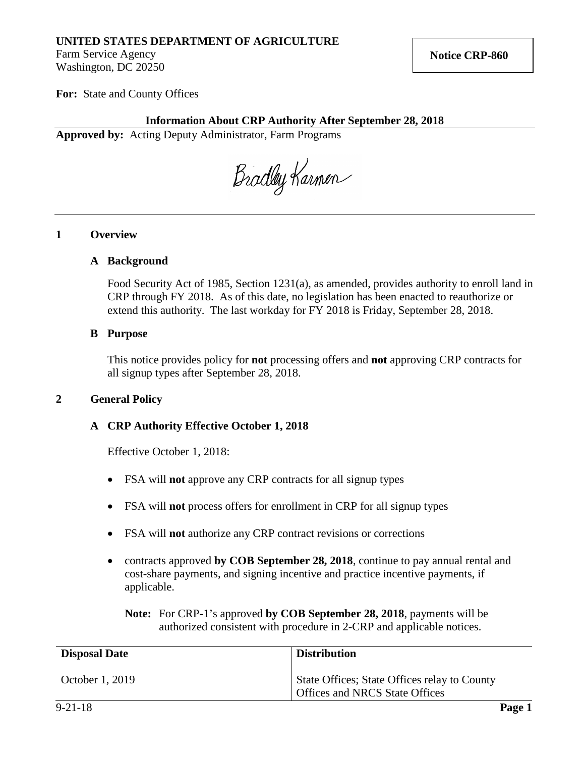## **UNITED STATES DEPARTMENT OF AGRICULTURE**

Farm Service Agency Washington, DC 20250

**For:** State and County Offices

## **Information About CRP Authority After September 28, 2018**

**Approved by:** Acting Deputy Administrator, Farm Programs

Bradley Karmen

### **1 Overview**

### **A Background**

Food Security Act of 1985, Section 1231(a), as amended, provides authority to enroll land in CRP through FY 2018. As of this date, no legislation has been enacted to reauthorize or extend this authority. The last workday for FY 2018 is Friday, September 28, 2018.

#### **B Purpose**

This notice provides policy for **not** processing offers and **not** approving CRP contracts for all signup types after September 28, 2018.

### **2 General Policy**

### **A CRP Authority Effective October 1, 2018**

Effective October 1, 2018:

- FSA will **not** approve any CRP contracts for all signup types
- FSA will **not** process offers for enrollment in CRP for all signup types
- FSA will **not** authorize any CRP contract revisions or corrections
- contracts approved by **COB September 28, 2018**, continue to pay annual rental and cost-share payments, and signing incentive and practice incentive payments, if applicable.

**Note:** For CRP-1's approved **by COB September 28, 2018**, payments will be authorized consistent with procedure in 2-CRP and applicable notices.

| <b>Disposal Date</b> | <b>Distribution</b>                                                                   |
|----------------------|---------------------------------------------------------------------------------------|
| October 1, 2019      | State Offices; State Offices relay to County<br><b>Offices and NRCS State Offices</b> |